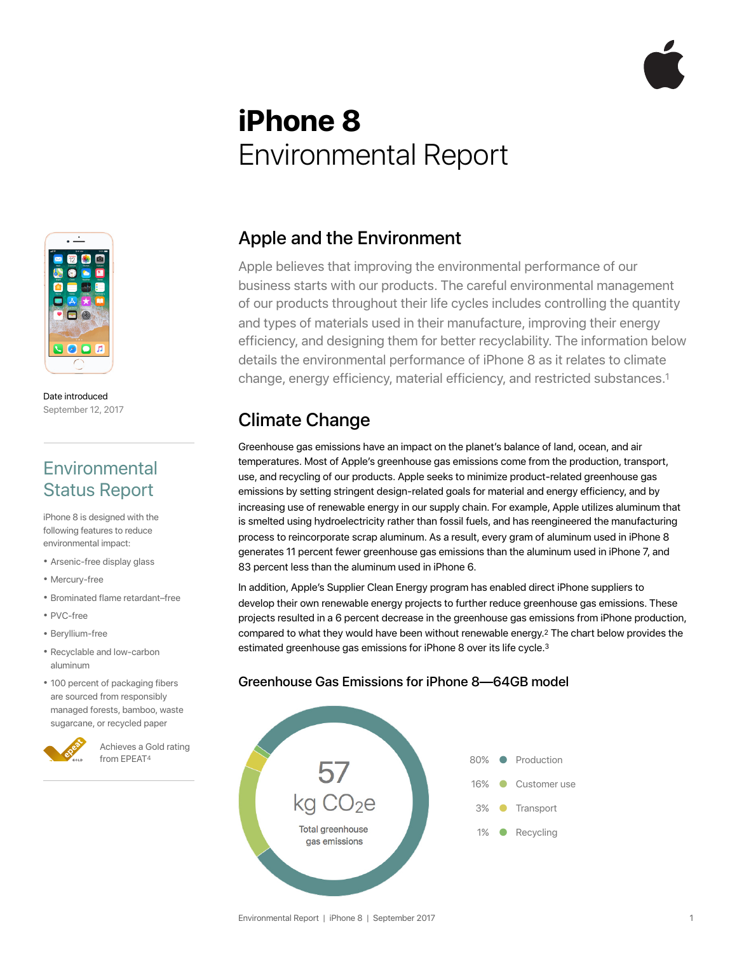# **iPhone 8**  Environmental Report



Date introduced September 12, 2017

### **Environmental** Status Report

iPhone 8 is designed with the following features to reduce environmental impact:

- Arsenic-free display glass
- Mercury-free
- Brominated flame retardant–free
- $\bullet$   $\mathsf{D} \vee \cap \mathsf{frao}$
- Beryllium-free
- Recyclable and low-carbon aluminum
- 100 percent of packaging fibers are sourced from responsibly managed forests, bamboo, waste sugarcane, or recycled paper



Achieves a Gold rating from EPEAT4

### Apple and the Environment

Apple believes that improving the environmental performance of our business starts with our products. The careful environmental management of our products throughout their life cycles includes controlling the quantity and types of materials used in their manufacture, improving their energy efficiency, and designing them for better recyclability. The information below details the environmental performance of iPhone 8 as it relates to climate change, energy efficiency, material efficiency, and restricted substances.1

### Climate Change

Greenhouse gas emissions have an impact on the planet's balance of land, ocean, and air temperatures. Most of Apple's greenhouse gas emissions come from the production, transport, use, and recycling of our products. Apple seeks to minimize product-related greenhouse gas emissions by setting stringent design-related goals for material and energy efficiency, and by increasing use of renewable energy in our supply chain. For example, Apple utilizes aluminum that is smelted using hydroelectricity rather than fossil fuels, and has reengineered the manufacturing process to reincorporate scrap aluminum. As a result, every gram of aluminum used in iPhone 8 generates 11 percent fewer greenhouse gas emissions than the aluminum used in iPhone 7, and 83 percent less than the aluminum used in iPhone 6.

In addition, Apple's Supplier Clean Energy program has enabled direct iPhone suppliers to develop their own renewable energy projects to further reduce greenhouse gas emissions. These projects resulted in a 6 percent decrease in the greenhouse gas emissions from iPhone production, compared to what they would have been without renewable energy.2 The chart below provides the estimated greenhouse gas emissions for iPhone 8 over its life cycle.<sup>3</sup>

#### Greenhouse Gas Emissions for iPhone 8—64GB model

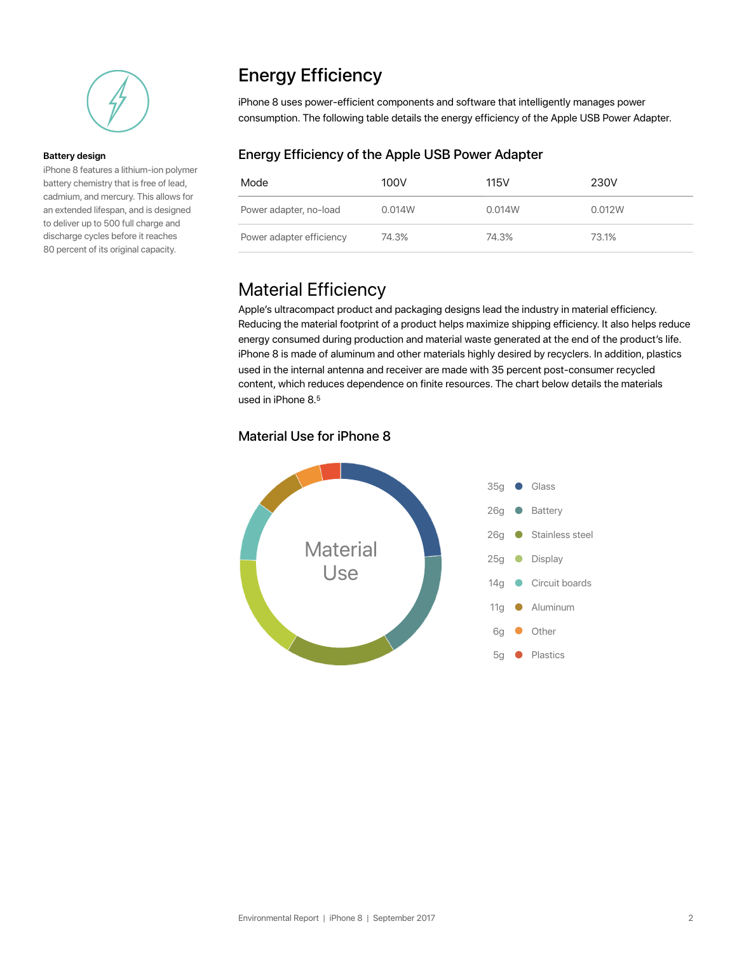

#### **Battery design**

iPhone 8 features a lithium-ion polymer battery chemistry that is free of lead, cadmium, and mercury. This allows for an extended lifespan, and is designed to deliver up to 500 full charge and discharge cycles before it reaches 80 percent of its original capacity.

### Energy Efficiency

iPhone 8 uses power-efficient components and software that intelligently manages power consumption. The following table details the energy efficiency of the Apple USB Power Adapter.

#### Energy Efficiency of the Apple USB Power Adapter

| Mode                     | 100V   | 115V   | 230V   |
|--------------------------|--------|--------|--------|
| Power adapter, no-load   | 0.014W | 0.014W | 0.012W |
| Power adapter efficiency | 74.3%  | 74.3%  | 73.1%  |

### Material Efficiency

Apple's ultracompact product and packaging designs lead the industry in material efficiency. Reducing the material footprint of a product helps maximize shipping efficiency. It also helps reduce energy consumed during production and material waste generated at the end of the product's life. iPhone 8 is made of aluminum and other materials highly desired by recyclers. In addition, plastics used in the internal antenna and receiver are made with 35 percent post-consumer recycled content, which reduces dependence on finite resources. The chart below details the materials used in iPhone 8.5

#### Material Use for iPhone 8

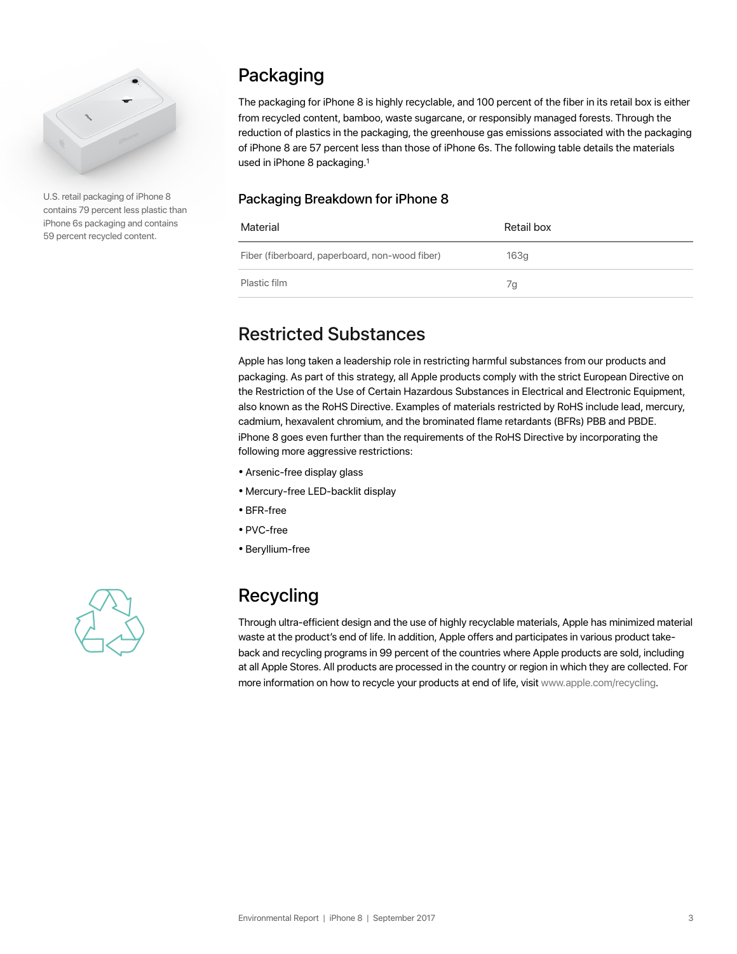

U.S. retail packaging of iPhone 8 contains 79 percent less plastic than iPhone 6s packaging and contains 59 percent recycled content.

### Packaging

The packaging for iPhone 8 is highly recyclable, and 100 percent of the fiber in its retail box is either from recycled content, bamboo, waste sugarcane, or responsibly managed forests. Through the reduction of plastics in the packaging, the greenhouse gas emissions associated with the packaging of iPhone 8 are 57 percent less than those of iPhone 6s. The following table details the materials used in iPhone 8 packaging.1

#### Packaging Breakdown for iPhone 8

| Material                                       | Retail box |
|------------------------------------------------|------------|
| Fiber (fiberboard, paperboard, non-wood fiber) | 163g       |
| Plastic film                                   | 7g         |

### Restricted Substances

Apple has long taken a leadership role in restricting harmful substances from our products and packaging. As part of this strategy, all Apple products comply with the strict European Directive on the Restriction of the Use of Certain Hazardous Substances in Electrical and Electronic Equipment, also known as the RoHS Directive. Examples of materials restricted by RoHS include lead, mercury, cadmium, hexavalent chromium, and the brominated flame retardants (BFRs) PBB and PBDE. iPhone 8 goes even further than the requirements of the RoHS Directive by incorporating the following more aggressive restrictions:

- Arsenic-free display glass
- Mercury-free LED-backlit display
- BFR-free
- PVC-free
- Beryllium-free



## Recycling

Through ultra-efficient design and the use of highly recyclable materials, Apple has minimized material waste at the product's end of life. In addition, Apple offers and participates in various product takeback and recycling programs in 99 percent of the countries where Apple products are sold, including at all Apple Stores. All products are processed in the country or region in which they are collected. For more information on how to recycle your products at end of life, visit www.apple.com/recycling.